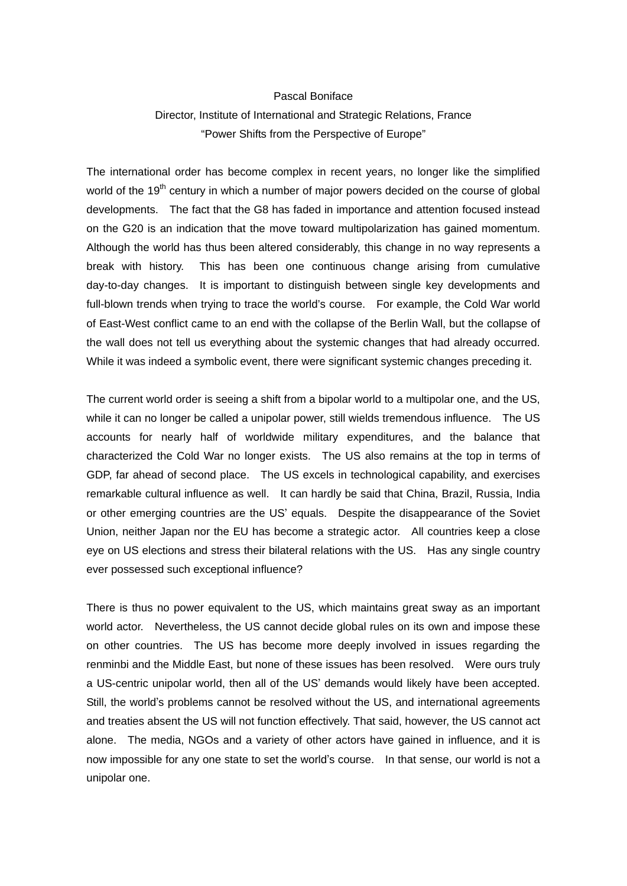## Pascal Boniface

## Director, Institute of International and Strategic Relations, France "Power Shifts from the Perspective of Europe"

The international order has become complex in recent years, no longer like the simplified world of the 19<sup>th</sup> century in which a number of major powers decided on the course of global developments. The fact that the G8 has faded in importance and attention focused instead on the G20 is an indication that the move toward multipolarization has gained momentum. Although the world has thus been altered considerably, this change in no way represents a break with history. This has been one continuous change arising from cumulative day-to-day changes. It is important to distinguish between single key developments and full-blown trends when trying to trace the world's course. For example, the Cold War world of East-West conflict came to an end with the collapse of the Berlin Wall, but the collapse of the wall does not tell us everything about the systemic changes that had already occurred. While it was indeed a symbolic event, there were significant systemic changes preceding it.

The current world order is seeing a shift from a bipolar world to a multipolar one, and the US, while it can no longer be called a unipolar power, still wields tremendous influence. The US accounts for nearly half of worldwide military expenditures, and the balance that characterized the Cold War no longer exists. The US also remains at the top in terms of GDP, far ahead of second place. The US excels in technological capability, and exercises remarkable cultural influence as well. It can hardly be said that China, Brazil, Russia, India or other emerging countries are the US' equals. Despite the disappearance of the Soviet Union, neither Japan nor the EU has become a strategic actor. All countries keep a close eye on US elections and stress their bilateral relations with the US. Has any single country ever possessed such exceptional influence?

There is thus no power equivalent to the US, which maintains great sway as an important world actor. Nevertheless, the US cannot decide global rules on its own and impose these on other countries. The US has become more deeply involved in issues regarding the renminbi and the Middle East, but none of these issues has been resolved. Were ours truly a US-centric unipolar world, then all of the US' demands would likely have been accepted. Still, the world's problems cannot be resolved without the US, and international agreements and treaties absent the US will not function effectively. That said, however, the US cannot act alone. The media, NGOs and a variety of other actors have gained in influence, and it is now impossible for any one state to set the world's course. In that sense, our world is not a unipolar one.